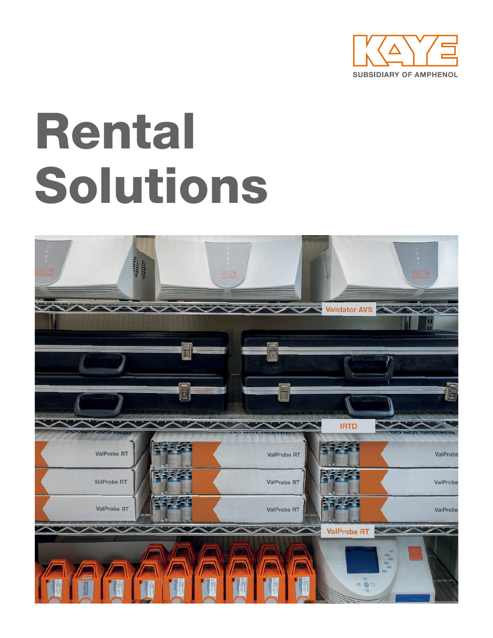

# Rental Solutions

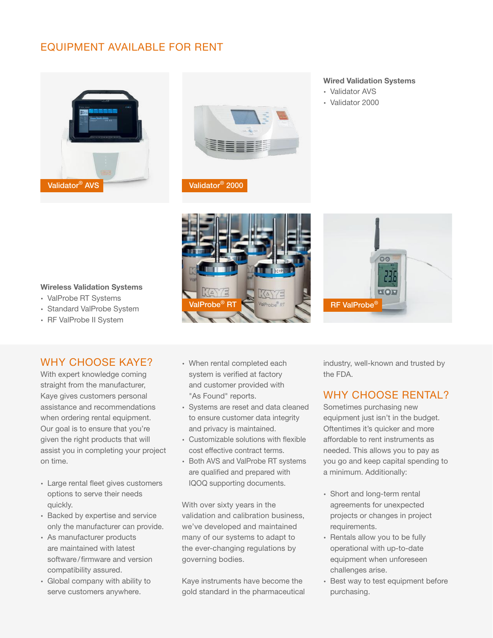# EQUIPMENT AVAILABLE FOR RENT





Validator® 2000

#### Wired Validation Systems

- ∙ Validator AVS
- ∙ Validator 2000



#### Wireless Validation Systems

- ∙ ValProbe RT Systems
- ∙ Standard ValProbe System
- ∙ RF ValProbe II System

## WHY CHOOSE KAYE?

With expert knowledge coming straight from the manufacturer, Kaye gives customers personal assistance and recommendations when ordering rental equipment. Our goal is to ensure that you're given the right products that will assist you in completing your project on time.

- ∙ Large rental fleet gives customers options to serve their needs quickly.
- ∙ Backed by expertise and service only the manufacturer can provide.
- ∙ As manufacturer products are maintained with latest software/firmware and version compatibility assured.
- ∙ Global company with ability to serve customers anywhere.
- ∙ When rental completed each system is verified at factory and customer provided with "As Found" reports.
- ∙ Systems are reset and data cleaned to ensure customer data integrity and privacy is maintained.
- ∙ Customizable solutions with flexible cost effective contract terms.
- ∙ Both AVS and ValProbe RT systems are qualified and prepared with IQOQ supporting documents.

With over sixty years in the validation and calibration business, we've developed and maintained many of our systems to adapt to the ever-changing regulations by governing bodies.

Kaye instruments have become the gold standard in the pharmaceutical

industry, well-known and trusted by the FDA.

# WHY CHOOSE RENTAL?

Sometimes purchasing new equipment just isn't in the budget. Oftentimes it's quicker and more affordable to rent instruments as needed. This allows you to pay as you go and keep capital spending to a minimum. Additionally:

- ∙ Short and long-term rental agreements for unexpected projects or changes in project requirements.
- ∙ Rentals allow you to be fully operational with up-to-date equipment when unforeseen challenges arise.
- ∙ Best way to test equipment before purchasing.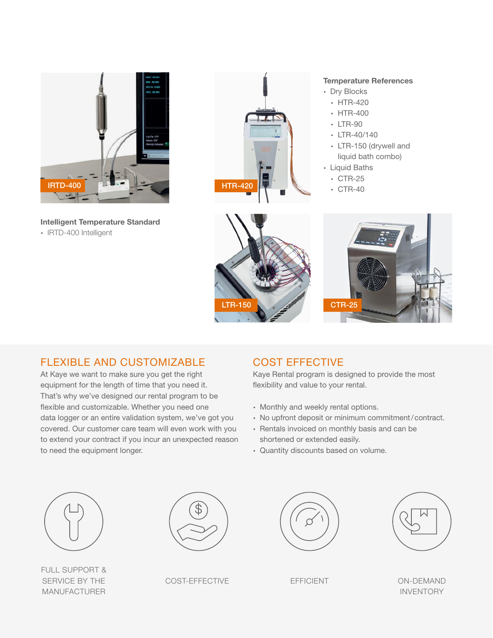

Intelligent Temperature Standard ∙ IRTD-400 Intelligent



#### Temperature References

- ∙ Dry Blocks
- ∙ HTR-420
- ∙ HTR-400
- ∙ LTR-90
- ∙ LTR-40/140
- ∙ LTR-150 (drywell and liquid bath combo)
- ∙ Liquid Baths
	- ∙ CTR-25
	-





# FLEXIBLE AND CUSTOMIZABLE

At Kaye we want to make sure you get the right equipment for the length of time that you need it. That's why we've designed our rental program to be flexible and customizable. Whether you need one data logger or an entire validation system, we've got you covered. Our customer care team will even work with you to extend your contract if you incur an unexpected reason to need the equipment longer.

# COST EFFECTIVE

Kaye Rental program is designed to provide the most flexibility and value to your rental.

- ∙ Monthly and weekly rental options.
- ∙ No upfront deposit or minimum commitment/contract.
- ∙ Rentals invoiced on monthly basis and can be shortened or extended easily.
- ∙ Quantity discounts based on volume.



FULL SUPPORT & SERVICE BY THE MANUFACTURER



COST-EFFECTIVE EFFICIENT ON-DEMAND





INVENTORY